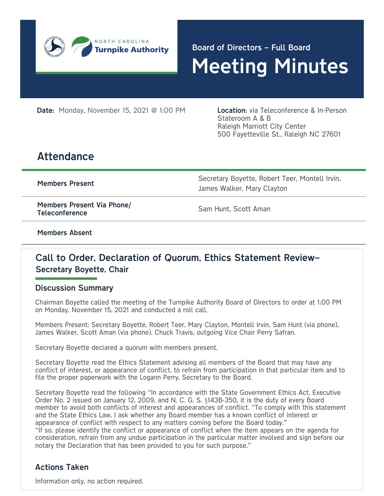

Meeting Minutes Board of Directors – Full Board

**Date:** Monday, November 15, 2021 @ 1:00 PM

Location: via Teleconference & In-Person Stateroom A & B Raleigh Marriott City Center 500 Fayetteville St., Raleigh NC 27601

# Attendance

Members Present Secretary Boyette, Robert Teer, Montell Irvin, James Walker, Mary Clayton

Members Present Via Phone/ Tempers Fresent via Frione,<br>Teleconference

Members Absent

# Call to Order, Declaration of Quorum, Ethics Statement Review– Secretary Boyette, Chair

#### Discussion Summary

Chairman Boyette called the meeting of the Turnpike Authority Board of Directors to order at 1:00 PM on Monday, November 15, 2021 and conducted a roll call.

Members Present: Secretary Boyette, Robert Teer, Mary Clayton, Montell Irvin, Sam Hunt (via phone), James Walker, Scott Aman (via phone), Chuck Travis, outgoing Vice Chair Perry Safran.

Secretary Boyette declared a quorum with members present.

Secretary Boyette read the Ethics Statement advising all members of the Board that may have any conflict of interest, or appearance of conflict, to refrain from participation in that particular item and to file the proper paperwork with the Logann Perry, Secretary to the Board.

Secretary Boyette read the following "In accordance with the State Government Ethics Act, Executive Order No. 2 issued on January 12, 2009, and N. C. G. S. §143B-350, it is the duty of every Board member to avoid both conflicts of interest and appearances of conflict. "To comply with this statement and the State Ethics Law, I ask whether any Board member has a known conflict of interest or appearance of conflict with respect to any matters coming before the Board today."

"If so, please identify the conflict or appearance of conflict when the item appears on the agenda for consideration, refrain from any undue participation in the particular matter involved and sign before our notary the Declaration that has been provided to you for such purpose."

## Actions Taken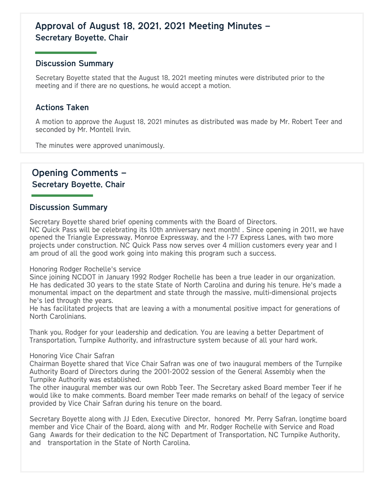# Approval of August 18, 2021, 2021 Meeting Minutes – Secretary Boyette, Chair

#### Discussion Summary

Secretary Boyette stated that the August 18, 2021 meeting minutes were distributed prior to the meeting and if there are no questions, he would accept a motion.

### Actions Taken

A motion to approve the August 18, 2021 minutes as distributed was made by Mr. Robert Teer and seconded by Mr. Montell Irvin.

The minutes were approved unanimously.

# Opening Comments – Secretary Boyette, Chair

## Discussion Summary

Secretary Boyette shared brief opening comments with the Board of Directors.

NC Quick Pass will be celebrating its 10th anniversary next month! . Since opening in 2011, we have opened the Triangle Expressway, Monroe Expressway, and the I-77 Express Lanes, with two more projects under construction. NC Quick Pass now serves over 4 million customers every year and I am proud of all the good work going into making this program such a success.

#### Honoring Rodger Rochelle's service

Since joining NCDOT in January 1992 Rodger Rochelle has been a true leader in our organization. He has dedicated 30 years to the state State of North Carolina and during his tenure. He's made a monumental impact on the department and state through the massive, multi-dimensional projects he's led through the years.

He has facilitated projects that are leaving a with a monumental positive impact for generations of North Carolinians.

Thank you, Rodger for your leadership and dedication. You are leaving a better Department of Transportation, Turnpike Authority, and infrastructure system because of all your hard work.

#### Honoring Vice Chair Safran

Chairman Boyette shared that Vice Chair Safran was one of two inaugural members of the Turnpike Authority Board of Directors during the 2001-2002 session of the General Assembly when the Turnpike Authority was established.

The other inaugural member was our own Robb Teer. The Secretary asked Board member Teer if he would like to make comments. Board member Teer made remarks on behalf of the legacy of service provided by Vice Chair Safran during his tenure on the board.

Secretary Boyette along with JJ Eden, Executive Director, honored Mr. Perry Safran, longtime board member and Vice Chair of the Board, along with and Mr. Rodger Rochelle with Service and Road Gang Awards for their dedication to the NC Department of Transportation, NC Turnpike Authority, and transportation in the State of North Carolina.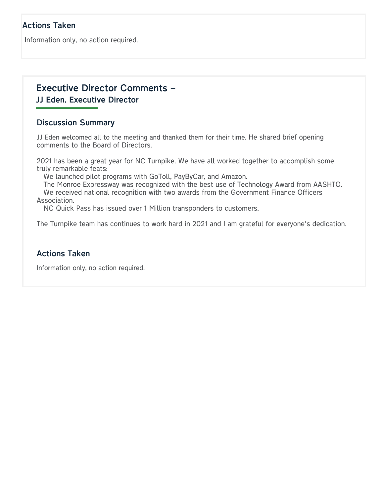## Actions Taken

Information only, no action required.

## Executive Director Comments – JJ Eden, Executive Director

#### Discussion Summary

JJ Eden welcomed all to the meeting and thanked them for their time. He shared brief opening comments to the Board of Directors.

2021 has been a great year for NC Turnpike. We have all worked together to accomplish some truly remarkable feats:

We launched pilot programs with GoToll, PayByCar, and Amazon.

 The Monroe Expressway was recognized with the best use of Technology Award from AASHTO. We received national recognition with two awards from the Government Finance Officers Association.

NC Quick Pass has issued over 1 Million transponders to customers.

The Turnpike team has continues to work hard in 2021 and I am grateful for everyone's dedication.

#### Actions Taken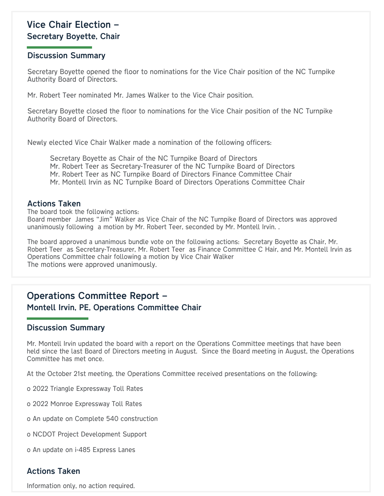# Vice Chair Election – Secretary Boyette, Chair

#### Discussion Summary

Secretary Boyette opened the floor to nominations for the Vice Chair position of the NC Turnpike Authority Board of Directors.

Mr. Robert Teer nominated Mr. James Walker to the Vice Chair position.

Secretary Boyette closed the floor to nominations for the Vice Chair position of the NC Turnpike Authority Board of Directors.

Newly elected Vice Chair Walker made a nomination of the following officers:

Secretary Boyette as Chair of the NC Turnpike Board of Directors Mr. Robert Teer as Secretary-Treasurer of the NC Turnpike Board of Directors Mr. Robert Teer as NC Turnpike Board of Directors Finance Committee Chair Mr. Montell Irvin as NC Turnpike Board of Directors Operations Committee Chair

#### Actions Taken

The board took the following actions:

Board member James "Jim" Walker as Vice Chair of the NC Turnpike Board of Directors was approved unanimously following a motion by Mr. Robert Teer, seconded by Mr. Montell Irvin. .

The board approved a unanimous bundle vote on the following actions: Secretary Boyette as Chair, Mr. Robert Teer as Secretary-Treasurer, Mr. Robert Teer as Finance Committee C Hair, and Mr. Montell Irvin as Operations Committee chair following a motion by Vice Chair Walker The motions were approved unanimously.

# Operations Committee Report – Montell Irvin, PE, Operations Committee Chair

#### Discussion Summary

Mr. Montell Irvin updated the board with a report on the Operations Committee meetings that have been held since the last Board of Directors meeting in August. Since the Board meeting in August, the Operations Committee has met once.

At the October 21st meeting, the Operations Committee received presentations on the following:

o 2022 Triangle Expressway Toll Rates

o 2022 Monroe Expressway Toll Rates

o An update on Complete 540 construction

o NCDOT Project Development Support

o An update on i-485 Express Lanes

#### Actions Taken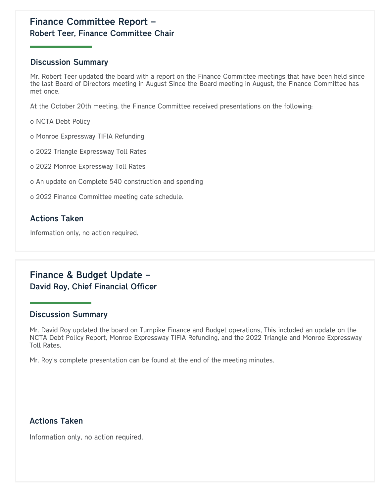# Finance Committee Report – Robert Teer, Finance Committee Chair

#### Discussion Summary

Mr. Robert Teer updated the board with a report on the Finance Committee meetings that have been held since the last Board of Directors meeting in August Since the Board meeting in August, the Finance Committee has met once.

At the October 20th meeting, the Finance Committee received presentations on the following:

o NCTA Debt Policy

o Monroe Expressway TIFIA Refunding

- o 2022 Triangle Expressway Toll Rates
- o 2022 Monroe Expressway Toll Rates
- o An update on Complete 540 construction and spending
- o 2022 Finance Committee meeting date schedule.

## Actions Taken

Information only, no action required.

# Finance & Budget Update – David Roy, Chief Financial Officer

#### Discussion Summary

Mr. David Roy updated the board on Turnpike Finance and Budget operations, This included an update on the NCTA Debt Policy Report, Monroe Expressway TIFIA Refunding, and the 2022 Triangle and Monroe Expressway Toll Rates.

Mr. Roy's complete presentation can be found at the end of the meeting minutes.

## Actions Taken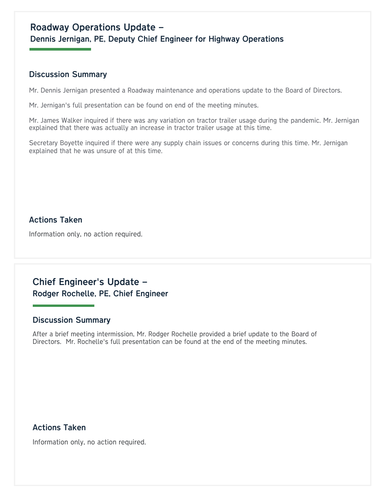# Roadway Operations Update –

Dennis Jernigan, PE, Deputy Chief Engineer for Highway Operations

#### Discussion Summary

Mr. Dennis Jernigan presented a Roadway maintenance and operations update to the Board of Directors.

Mr. Jernigan's full presentation can be found on end of the meeting minutes.

Mr. James Walker inquired if there was any variation on tractor trailer usage during the pandemic. Mr. Jernigan explained that there was actually an increase in tractor trailer usage at this time.

Secretary Boyette inquired if there were any supply chain issues or concerns during this time. Mr. Jernigan explained that he was unsure of at this time.

## Actions Taken

Information only, no action required.

# Chief Engineer's Update – Rodger Rochelle, PE, Chief Engineer

#### Discussion Summary

After a brief meeting intermission, Mr. Rodger Rochelle provided a brief update to the Board of Directors. Mr. Rochelle's full presentation can be found at the end of the meeting minutes.

## Actions Taken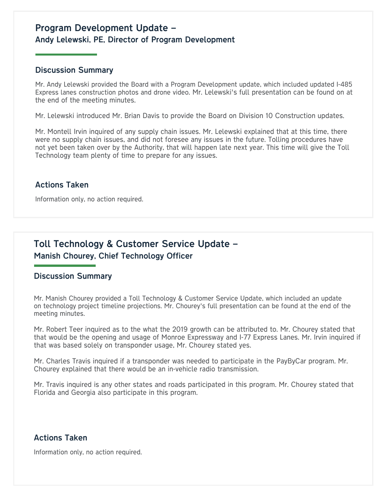# Program Development Update – Andy Lelewski, PE, Director of Program Development

#### Discussion Summary

Mr. Andy Lelewski provided the Board with a Program Development update, which included updated I-485 Express lanes construction photos and drone video. Mr. Lelewski's full presentation can be found on at the end of the meeting minutes.

Mr. Lelewski introduced Mr. Brian Davis to provide the Board on Division 10 Construction updates.

Mr. Montell Irvin inquired of any supply chain issues. Mr. Lelewski explained that at this time, there were no supply chain issues, and did not foresee any issues in the future. Tolling procedures have not yet been taken over by the Authority, that will happen late next year. This time will give the Toll Technology team plenty of time to prepare for any issues.

#### Actions Taken

Information only, no action required.

# Toll Technology & Customer Service Update – Manish Chourey, Chief Technology Officer

#### Discussion Summary

Mr. Manish Chourey provided a Toll Technology & Customer Service Update, which included an update on technology project timeline projections. Mr. Chourey's full presentation can be found at the end of the meeting minutes.

Mr. Robert Teer inquired as to the what the 2019 growth can be attributed to. Mr. Chourey stated that that would be the opening and usage of Monroe Expressway and I-77 Express Lanes. Mr. Irvin inquired if that was based solely on transponder usage, Mr. Chourey stated yes.

Mr. Charles Travis inquired if a transponder was needed to participate in the PayByCar program. Mr. Chourey explained that there would be an in-vehicle radio transmission.

Mr. Travis inquired is any other states and roads participated in this program. Mr. Chourey stated that Florida and Georgia also participate in this program.

#### Actions Taken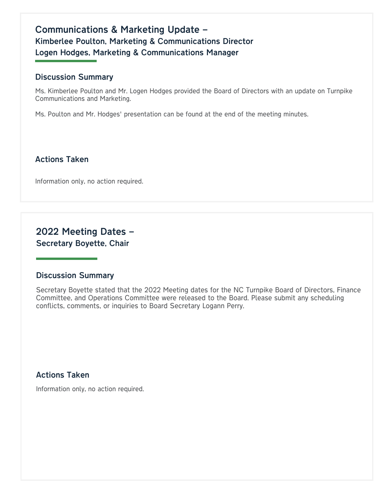# Communications & Marketing Update – Kimberlee Poulton, Marketing & Communications Director Logen Hodges, Marketing & Communications Manager

#### Discussion Summary

Ms. Kimberlee Poulton and Mr. Logen Hodges provided the Board of Directors with an update on Turnpike Communications and Marketing.

Ms. Poulton and Mr. Hodges' presentation can be found at the end of the meeting minutes.

## Actions Taken

Information only, no action required.

# 2022 Meeting Dates – Secretary Boyette, Chair

#### Discussion Summary

Secretary Boyette stated that the 2022 Meeting dates for the NC Turnpike Board of Directors, Finance Committee, and Operations Committee were released to the Board. Please submit any scheduling conflicts, comments, or inquiries to Board Secretary Logann Perry.

## Actions Taken